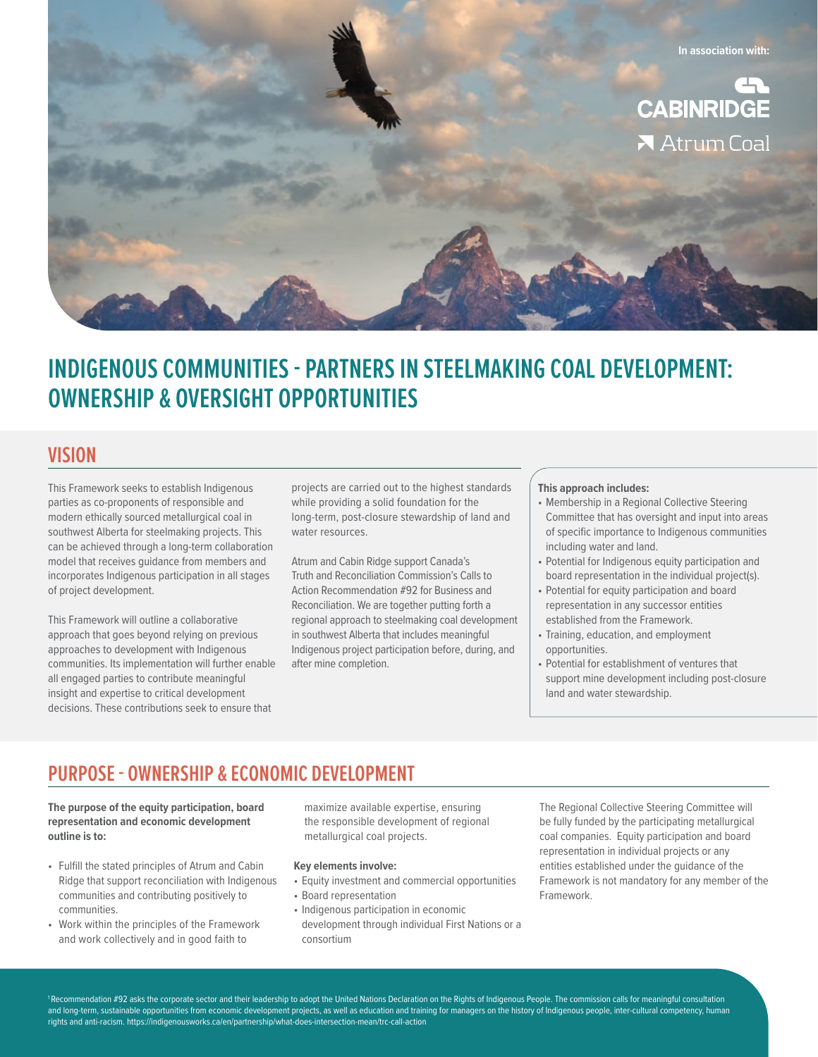

# **INDIGENOUS COMMUNITIES - PARTNERS IN STEELMAKING COAL DEVELOPMENT: OWNERSHIP & OVERSIGHT OPPORTUNITIES**

### **VISION**

This Framework seeks to establish Indigenous parties as co-proponents of responsible and modern ethically sourced metallurgical coal in southwest Alberta for steelmaking projects. This can be achieved through a long-term collaboration model that receives guidance from members and incorporates Indigenous participation in all stages of project development.

This Framework will outline a collaborative approach that goes beyond relying on previous approaches to development with Indigenous communities. Its implementation will further enable all engaged parties to contribute meaningful insight and expertise to critical development decisions. These contributions seek to ensure that

projects are carried out to the highest standards while providing a solid foundation for the long-term, post-closure stewardship of land and water resources.

Atrum and Cabin Ridge support Canada's Truth and Reconciliation Commission's Calls to Action Recommendation #92 for Business and Reconciliation. We are together putting forth a regional approach to steelmaking coal development in southwest Alberta that includes meaningful Indigenous project participation before, during, and after mine completion.

#### **This approach includes:**

- Membership in a Regional Collective Steering Committee that has oversight and input into areas of specific importance to Indigenous communities including water and land.
- Potential for Indigenous equity participation and board representation in the individual project(s).
- Potential for equity participation and board representation in any successor entities established from the Framework.
- Training, education, and employment opportunities.
- Potential for establishment of ventures that support mine development including post-closure land and water stewardship.

# **PURPOSE - OWNERSHIP & ECONOMIC DEVELOPMENT**

#### **The purpose of the equity participation, board representation and economic development outline is to:**

- Fulfill the stated principles of Atrum and Cabin Ridge that support reconciliation with Indigenous communities and contributing positively to communities.
- Work within the principles of the Framework and work collectively and in good faith to

maximize available expertise, ensuring the responsible development of regional metallurgical coal projects.

#### **Key elements involve:**

- Equity investment and commercial opportunities
- Board representation
- Indigenous participation in economic development through individual First Nations or a consortium

The Regional Collective Steering Committee will be fully funded by the participating metallurgical coal companies. Equity participation and board representation in individual projects or any entities established under the guidance of the Framework is not mandatory for any member of the Framework.

<sup>1</sup> Recommendation #92 asks the corporate sector and their leadership to adopt the United Nations Declaration on the Rights of Indigenous People. The commission calls for meaningful consultation and long-term, sustainable opportunities from economic development projects, as well as education and training for managers on the history of Indigenous people, inter-cultural competency, human rights and anti-racism. https://indigenousworks.ca/en/partnership/what-does-intersection-mean/trc-call-action